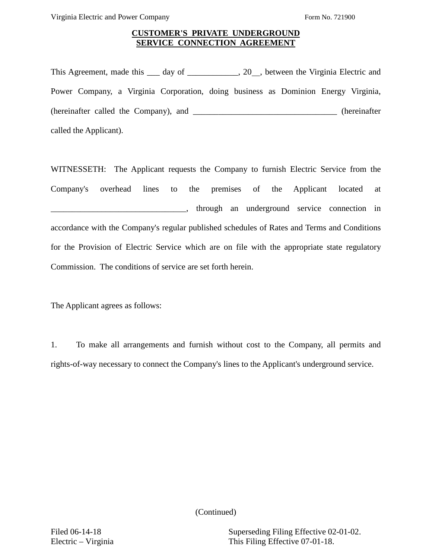## **CUSTOMER'S PRIVATE UNDERGROUND SERVICE CONNECTION AGREEMENT**

This Agreement, made this \_\_\_ day of \_\_\_\_\_\_\_\_\_\_, 20, between the Virginia Electric and Power Company, a Virginia Corporation, doing business as Dominion Energy Virginia, (hereinafter called the Company), and \_\_\_\_\_\_\_\_\_\_\_\_\_\_\_\_\_\_\_\_\_\_\_\_\_\_\_\_\_\_\_\_\_\_ (hereinafter called the Applicant).

WITNESSETH: The Applicant requests the Company to furnish Electric Service from the Company's overhead lines to the premises of the Applicant located at \_\_\_\_\_\_\_\_\_\_\_\_\_\_\_\_\_\_\_\_\_\_\_\_\_\_\_\_\_\_\_\_, through an underground service connection in accordance with the Company's regular published schedules of Rates and Terms and Conditions for the Provision of Electric Service which are on file with the appropriate state regulatory Commission. The conditions of service are set forth herein.

The Applicant agrees as follows:

1. To make all arrangements and furnish without cost to the Company, all permits and rights-of-way necessary to connect the Company's lines to the Applicant's underground service.

(Continued)

Filed 06-14-18 Superseding Filing Effective 02-01-02. Electric – Virginia This Filing Effective 07-01-18.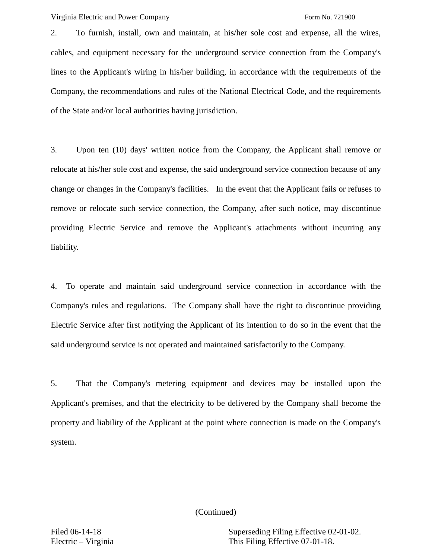## Virginia Electric and Power Company Form No. 721900

2. To furnish, install, own and maintain, at his/her sole cost and expense, all the wires, cables, and equipment necessary for the underground service connection from the Company's lines to the Applicant's wiring in his/her building, in accordance with the requirements of the Company, the recommendations and rules of the National Electrical Code, and the requirements of the State and/or local authorities having jurisdiction.

3. Upon ten (10) days' written notice from the Company, the Applicant shall remove or relocate at his/her sole cost and expense, the said underground service connection because of any change or changes in the Company's facilities. In the event that the Applicant fails or refuses to remove or relocate such service connection, the Company, after such notice, may discontinue providing Electric Service and remove the Applicant's attachments without incurring any liability.

4. To operate and maintain said underground service connection in accordance with the Company's rules and regulations. The Company shall have the right to discontinue providing Electric Service after first notifying the Applicant of its intention to do so in the event that the said underground service is not operated and maintained satisfactorily to the Company.

5. That the Company's metering equipment and devices may be installed upon the Applicant's premises, and that the electricity to be delivered by the Company shall become the property and liability of the Applicant at the point where connection is made on the Company's system.

(Continued)

Filed 06-14-18 Superseding Filing Effective 02-01-02. Electric – Virginia This Filing Effective 07-01-18.